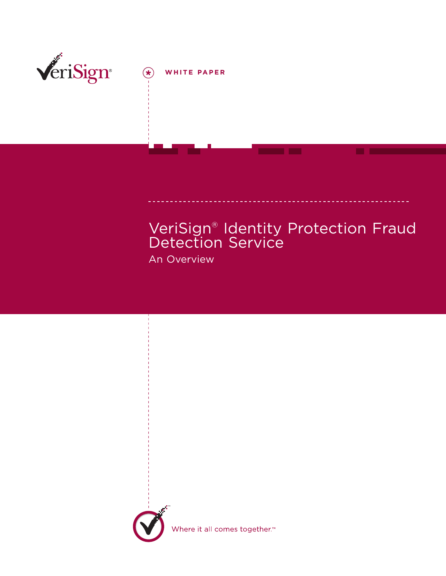

# **WHITE PAPER**

### VeriSign® Identity Protection Fraud Detection Service An Overview



Where it all comes together.<sup>™</sup>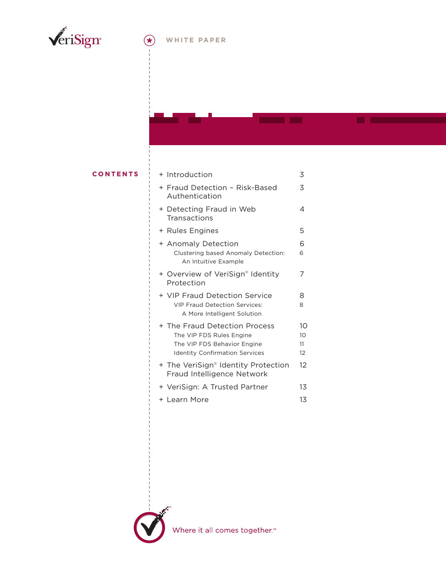

# **WHITE PAPER**

#### **CONTENTS**

| + Introduction                                                       | 3        |
|----------------------------------------------------------------------|----------|
| + Fraud Detection - Risk-Based<br>Authentication                     | 3        |
| + Detecting Fraud in Web<br>Transactions                             | 4        |
| + Rules Engines                                                      | 5        |
| + Anomaly Detection                                                  | 6        |
| Clustering based Anomaly Detection:<br>An Intuitive Example          | 6        |
| + Overview of VeriSign® Identity<br>Protection                       | 7        |
| + VIP Fraud Detection Service                                        | 8        |
| <b>VIP Fraud Detection Services:</b><br>A More Intelligent Solution  | 8        |
| + The Fraud Detection Process                                        | 10       |
| The VIP FDS Rules Engine                                             | 10       |
| The VIP FDS Behavior Engine<br><b>Identity Confirmation Services</b> | 11<br>12 |
| + The VeriSign® Identity Protection                                  | 12       |
| Fraud Intelligence Network                                           |          |
| + VeriSign: A Trusted Partner                                        | 13       |
| + Learn More                                                         | 13       |



Where it all comes together.<sup>™</sup>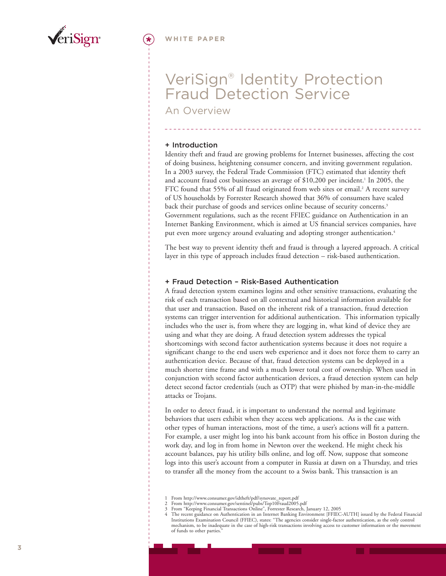

## VeriSign® Identity Protection Fraud Detection Service

An Overview

#### **+ Introduction**

Identity theft and fraud are growing problems for Internet businesses, affecting the cost of doing business, heightening consumer concern, and inviting government regulation. In a 2003 survey, the Federal Trade Commission (FTC) estimated that identity theft and account fraud cost businesses an average of  $$10,200$  per incident.<sup>1</sup> In 2005, the FTC found that 55% of all fraud originated from web sites or email.<sup>2</sup> A recent survey of US households by Forrester Research showed that 36% of consumers have scaled back their purchase of goods and services online because of security concerns.<sup>3</sup> Government regulations, such as the recent FFIEC guidance on Authentication in an Internet Banking Environment, which is aimed at US financial services companies, have put even more urgency around evaluating and adopting stronger authentication.<sup>4</sup>

The best way to prevent identity theft and fraud is through a layered approach. A critical layer in this type of approach includes fraud detection – risk-based authentication.

#### **+ Fraud Detection – Risk-Based Authentication**

A fraud detection system examines logins and other sensitive transactions, evaluating the risk of each transaction based on all contextual and historical information available for that user and transaction. Based on the inherent risk of a transaction, fraud detection systems can trigger intervention for additional authentication. This information typically includes who the user is, from where they are logging in, what kind of device they are using and what they are doing. A fraud detection system addresses the typical shortcomings with second factor authentication systems because it does not require a significant change to the end users web experience and it does not force them to carry an authentication device. Because of that, fraud detection systems can be deployed in a much shorter time frame and with a much lower total cost of ownership. When used in conjunction with second factor authentication devices, a fraud detection system can help detect second factor credentials (such as OTP) that were phished by man-in-the-middle attacks or Trojans.

In order to detect fraud, it is important to understand the normal and legitimate behaviors that users exhibit when they access web applications. As is the case with other types of human interactions, most of the time, a user's actions will fit a pattern. For example, a user might log into his bank account from his office in Boston during the work day, and log in from home in Newton over the weekend. He might check his account balances, pay his utility bills online, and log off. Now, suppose that someone logs into this user's account from a computer in Russia at dawn on a Thursday, and tries to transfer all the money from the account to a Swiss bank. This transaction is an

<sup>1</sup> From http://www.consumer.gov/idtheft/pdf/synovate\_report.pdf 2 From http://www.consumer.gov/sentinel/pubs/Top10Fraud2005.pdf 3 From "Keeping Financial Transactions Online", Forrester Research, January 12, 2005

The recent guidance on Authentication in an Internet Banking Environment [FFIEC-AUTH] issued by the Federal Financial Institutions Examination Council (FFIEC), states: "The agencies consider single-factor authentication, as the only control mechanism, to be inadequate in the case of high-risk transactions involving access to customer information or the movement of funds to other parties.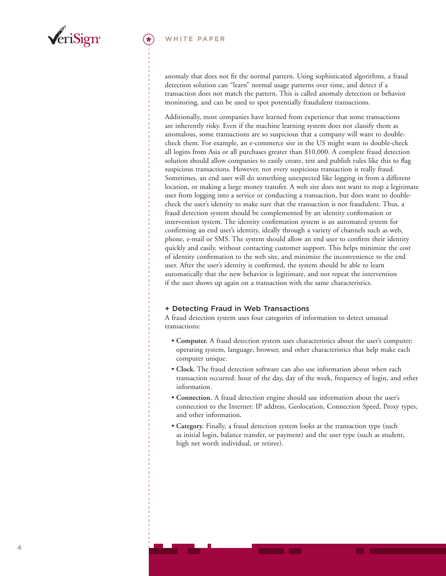

anomaly that does not fit the normal pattern. Using sophisticated algorithms, a fraud detection solution can "learn" normal usage patterns over time, and detect if a transaction does not match the pattern. This is called anomaly detection or behavior monitoring, and can be used to spot potentially fraudulent transactions.

Additionally, most companies have learned from experience that some transactions are inherently risky. Even if the machine learning system does not classify them as anomalous, some transactions are so suspicious that a company will want to doublecheck them. For example, an e-commerce site in the US might want to double-check all logins from Asia or all purchases greater than \$10,000. A complete fraud detection solution should allow companies to easily create, test and publish rules like this to flag suspicious transactions. However, not every suspicious transaction is really fraud. Sometimes, an end user will do something unexpected like logging in from a different location, or making a large money transfer. A web site does not want to stop a legitimate user from logging into a service or conducting a transaction, but does want to doublecheck the user's identity to make sure that the transaction is not fraudulent. Thus, a fraud detection system should be complemented by an identity confirmation or intervention system. The identity confirmation system is an automated system for confirming an end user's identity, ideally through a variety of channels such as web, phone, e-mail or SMS. The system should allow an end user to confirm their identity quickly and easily, without contacting customer support. This helps minimize the cost of identity confirmation to the web site, and minimize the inconvenience to the end user. After the user's identity is confirmed, the system should be able to learn automatically that the new behavior is legitimate, and not repeat the intervention if the user shows up again on a transaction with the same characteristics.

#### **+ Detecting Fraud in Web Transactions**

A fraud detection system uses four categories of information to detect unusual transactions:

- **Computer.** A fraud detection system uses characteristics about the user's computer: operating system, language, browser, and other characteristics that help make each computer unique.
- **Clock.** The fraud detection software can also use information about when each transaction occurred: hour of the day, day of the week, frequency of login, and other information.
- **Connection.** A fraud detection engine should use information about the user's connection to the Internet: IP address, Geolocation, Connection Speed, Proxy types, and other information.
- **Category.** Finally, a fraud detection system looks at the transaction type (such as initial login, balance transfer, or payment) and the user type (such as student, high net worth individual, or retiree).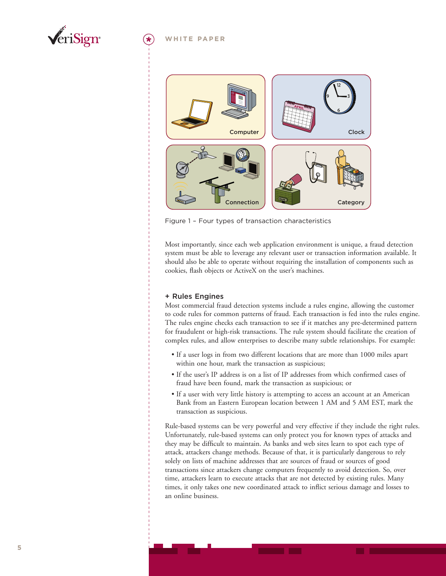





Figure 1 – Four types of transaction characteristics

Most importantly, since each web application environment is unique, a fraud detection system must be able to leverage any relevant user or transaction information available. It should also be able to operate without requiring the installation of components such as cookies, flash objects or ActiveX on the user's machines.

#### **+ Rules Engines**

Most commercial fraud detection systems include a rules engine, allowing the customer to code rules for common patterns of fraud. Each transaction is fed into the rules engine. The rules engine checks each transaction to see if it matches any pre-determined pattern for fraudulent or high-risk transactions. The rule system should facilitate the creation of complex rules, and allow enterprises to describe many subtle relationships. For example:

- If a user logs in from two different locations that are more than 1000 miles apart within one hour, mark the transaction as suspicious;
- If the user's IP address is on a list of IP addresses from which confirmed cases of fraud have been found, mark the transaction as suspicious; or
- If a user with very little history is attempting to access an account at an American Bank from an Eastern European location between 1 AM and 5 AM EST, mark the transaction as suspicious.

Rule-based systems can be very powerful and very effective if they include the right rules. Unfortunately, rule-based systems can only protect you for known types of attacks and they may be difficult to maintain. As banks and web sites learn to spot each type of attack, attackers change methods. Because of that, it is particularly dangerous to rely solely on lists of machine addresses that are sources of fraud or sources of good transactions since attackers change computers frequently to avoid detection. So, over time, attackers learn to execute attacks that are not detected by existing rules. Many times, it only takes one new coordinated attack to inflict serious damage and losses to an online business.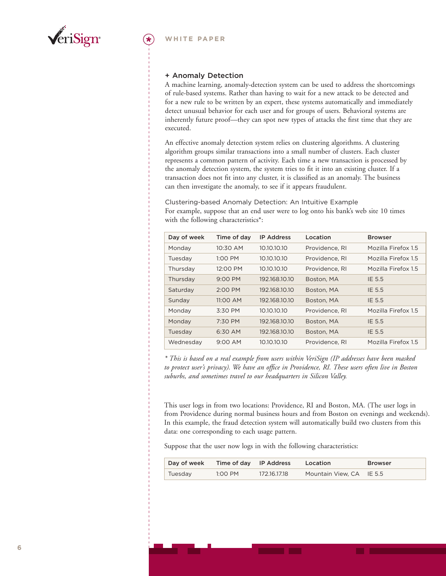

#### **+ Anomaly Detection**

A machine learning, anomaly-detection system can be used to address the shortcomings of rule-based systems. Rather than having to wait for a new attack to be detected and for a new rule to be written by an expert, these systems automatically and immediately detect unusual behavior for each user and for groups of users. Behavioral systems are inherently future proof—they can spot new types of attacks the first time that they are executed.

An effective anomaly detection system relies on clustering algorithms. A clustering algorithm groups similar transactions into a small number of clusters. Each cluster represents a common pattern of activity. Each time a new transaction is processed by the anomaly detection system, the system tries to fit it into an existing cluster. If a transaction does not fit into any cluster, it is classified as an anomaly. The business can then investigate the anomaly, to see if it appears fraudulent.

#### Clustering-based Anomaly Detection: An Intuitive Example For example, suppose that an end user were to log onto his bank's web site 10 times with the following characteristics\*:

| Day of week      | Time of day | <b>IP Address</b> | Location       | <b>Browser</b>      |
|------------------|-------------|-------------------|----------------|---------------------|
| Monday           | 10:30 AM    | 10.10.10.10       | Providence, RI | Mozilla Firefox 1.5 |
| Tuesday          | 1:00 PM     | 10.10.10.10       | Providence, RI | Mozilla Firefox 1.5 |
| Thursday         | 12:00 PM    | 10.10.10.10       | Providence, RI | Mozilla Firefox 1.5 |
| Thursday         | $9:00$ PM   | 192.168.10.10     | Boston, MA     | IE 5.5              |
| Saturday         | $2:00$ PM   | 192.168.10.10     | Boston, MA     | IE 5.5              |
| Sunday           | 11:00 AM    | 192.168.10.10     | Boston, MA     | IE 5.5              |
| Monday<br>Monday | 3:30 PM     | 10.10.10.10       | Providence, RI | Mozilla Firefox 1.5 |
|                  | 7:30 PM     | 192.168.10.10     | Boston, MA     | IE 5.5              |
| Tuesday          | 6:30 AM     | 192.168.10.10     | Boston, MA     | IE 5.5              |
| Wednesday        | $9:00$ AM   | 10.10.10.10       | Providence, RI | Mozilla Firefox 1.5 |

*\* This is based on a real example from users within VeriSign (IP addresses have been masked to protect user's privacy). We have an office in Providence, RI. These users often live in Boston suburbs, and sometimes travel to our headquarters in Silicon Valley.*

This user logs in from two locations: Providence, RI and Boston, MA. (The user logs in from Providence during normal business hours and from Boston on evenings and weekends). In this example, the fraud detection system will automatically build two clusters from this data: one corresponding to each usage pattern.

Suppose that the user now logs in with the following characteristics:

| Day of week | Time of day IP Address |              | Location                 | <b>Browser</b> |
|-------------|------------------------|--------------|--------------------------|----------------|
| Tuesdav     | 1:00 PM                | 172.16.17.18 | Mountain View. CA IE 5.5 |                |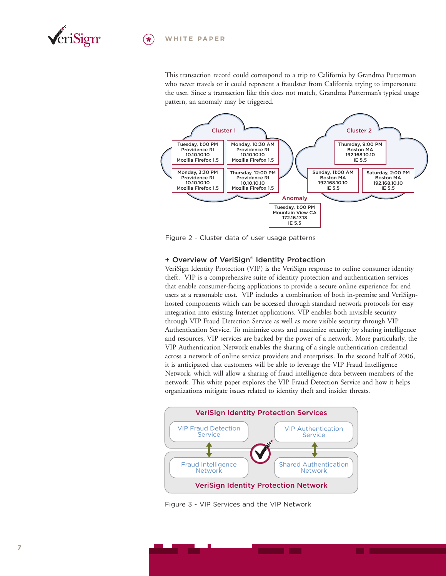

This transaction record could correspond to a trip to California by Grandma Putterman who never travels or it could represent a fraudster from California trying to impersonate the user. Since a transaction like this does not match, Grandma Putterman's typical usage pattern, an anomaly may be triggered.



Figure 2 - Cluster data of user usage patterns

#### **+ Overview of VeriSign® Identity Protection**

VeriSign Identity Protection (VIP) is the VeriSign response to online consumer identity theft. VIP is a comprehensive suite of identity protection and authentication services that enable consumer-facing applications to provide a secure online experience for end users at a reasonable cost. VIP includes a combination of both in-premise and VeriSignhosted components which can be accessed through standard network protocols for easy integration into existing Internet applications. VIP enables both invisible security through VIP Fraud Detection Service as well as more visible security through VIP Authentication Service. To minimize costs and maximize security by sharing intelligence and resources, VIP services are backed by the power of a network. More particularly, the VIP Authentication Network enables the sharing of a single authentication credential across a network of online service providers and enterprises. In the second half of 2006, it is anticipated that customers will be able to leverage the VIP Fraud Intelligence Network, which will allow a sharing of fraud intelligence data between members of the network. This white paper explores the VIP Fraud Detection Service and how it helps organizations mitigate issues related to identity theft and insider threats.



Figure 3 - VIP Services and the VIP Network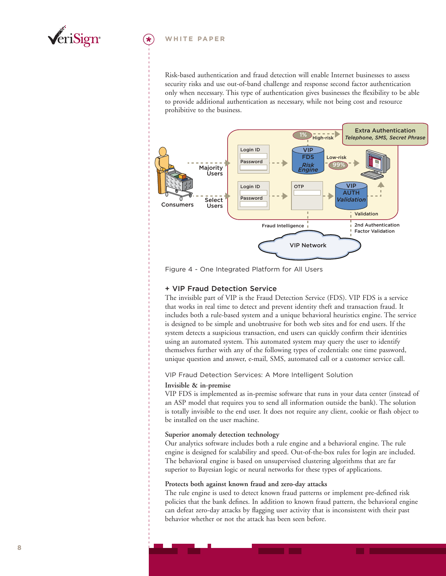

Risk-based authentication and fraud detection will enable Internet businesses to assess security risks and use out-of-band challenge and response second factor authentication only when necessary. This type of authentication gives businesses the flexibility to be able to provide additional authentication as necessary, while not being cost and resource prohibitive to the business.



Figure 4 - One Integrated Platform for All Users

#### **+ VIP Fraud Detection Service**

The invisible part of VIP is the Fraud Detection Service (FDS). VIP FDS is a service that works in real time to detect and prevent identity theft and transaction fraud. It includes both a rule-based system and a unique behavioral heuristics engine. The service is designed to be simple and unobtrusive for both web sites and for end users. If the system detects a suspicious transaction, end users can quickly confirm their identities using an automated system. This automated system may query the user to identify themselves further with any of the following types of credentials: one time password, unique question and answer, e-mail, SMS, automated call or a customer service call.

#### VIP Fraud Detection Services: A More Intelligent Solution

#### **Invisible & in-premise**

VIP FDS is implemented as in-premise software that runs in your data center (instead of an ASP model that requires you to send all information outside the bank). The solution is totally invisible to the end user. It does not require any client, cookie or flash object to be installed on the user machine.

#### **Superior anomaly detection technology**

Our analytics software includes both a rule engine and a behavioral engine. The rule engine is designed for scalability and speed. Out-of-the-box rules for login are included. The behavioral engine is based on unsupervised clustering algorithms that are far superior to Bayesian logic or neural networks for these types of applications.

#### **Protects both against known fraud and zero-day attacks**

The rule engine is used to detect known fraud patterns or implement pre-defined risk policies that the bank defines. In addition to known fraud pattern, the behavioral engine can defeat zero-day attacks by flagging user activity that is inconsistent with their past behavior whether or not the attack has been seen before.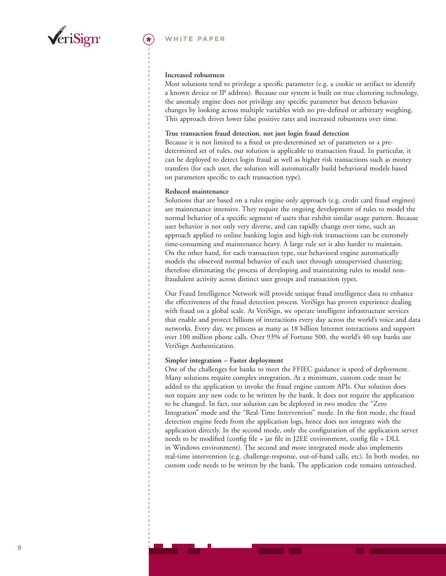

#### **Increased robustness**

Most solutions tend to privilege a specific parameter (e.g. a cookie or artifact to identify a known device or IP address). Because our system is built on true clustering technology, the anomaly engine does not privilege any specific parameter but detects behavior changes by looking across multiple variables with no pre-defined or arbitrary weighing. This approach drives lower false positive rates and increased robustness over time.

#### **True transaction fraud detection, not just login fraud detection**

Because it is not limited to a fixed or pre-determined set of parameters or a predetermined set of rules, our solution is applicable to transaction fraud. In particular, it can be deployed to detect login fraud as well as higher risk transactions such as money transfers (for each user, the solution will automatically build behavioral models based on parameters specific to each transaction type).

#### **Reduced maintenance**

Solutions that are based on a rules engine only approach (e.g. credit card fraud engines) are maintenance intensive. They require the ongoing development of rules to model the normal behavior of a specific segment of users that exhibit similar usage pattern. Because user behavior is not only very diverse, and can rapidly change over time, such an approach applied to online banking login and high-risk transactions can be extremely time-consuming and maintenance heavy. A large rule set is also harder to maintain. On the other hand, for each transaction type, our behavioral engine automatically models the observed normal behavior of each user through unsupervised clustering, therefore eliminating the process of developing and maintaining rules to model nonfraudulent activity across distinct user groups and transaction types.

Our Fraud Intelligence Network will provide unique fraud intelligence data to enhance the effectiveness of the fraud detection process. VeriSign has proven experience dealing with fraud on a global scale. At VeriSign, we operate intelligent infrastructure services that enable and protect billions of interactions every day across the world's voice and data networks. Every day, we process as many as 18 billion Internet interactions and support over 100 million phone calls. Over 93% of Fortune 500, the world's 40 top banks use VeriSign Authentication.

#### **Simpler integration – Faster deployment**

One of the challenges for banks to meet the FFIEC guidance is speed of deployment. Many solutions require complex integration. At a minimum, custom code must be added to the application to invoke the fraud engine custom APIs. Our solution does not require any new code to be written by the bank. It does not require the application to be changed. In fact, our solution can be deployed in two modes: the "Zero Integration" mode and the "Real-Time Intervention" mode. In the first mode, the fraud detection engine feeds from the application logs, hence does not integrate with the application directly. In the second mode, only the configuration of the application server needs to be modified (config file + jar file in J2EE environment, config file + DLL in Windows environment). The second and more integrated mode also implements real-time intervention (e.g. challenge-response, out-of-band calls, etc). In both modes, no custom code needs to be written by the bank. The application code remains untouched.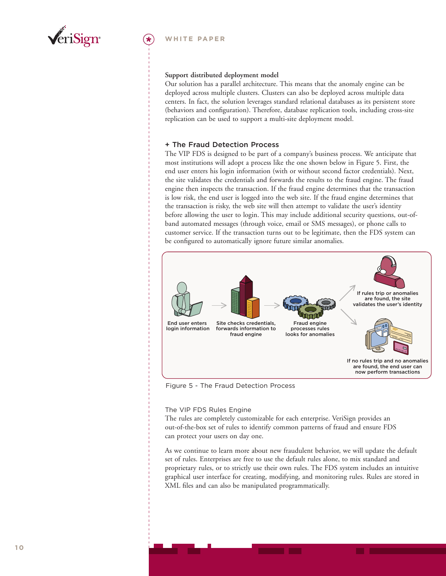

#### **Support distributed deployment model**

Our solution has a parallel architecture. This means that the anomaly engine can be deployed across multiple clusters. Clusters can also be deployed across multiple data centers. In fact, the solution leverages standard relational databases as its persistent store (behaviors and configuration). Therefore, database replication tools, including cross-site replication can be used to support a multi-site deployment model.

#### **+ The Fraud Detection Process**

The VIP FDS is designed to be part of a company's business process. We anticipate that most institutions will adopt a process like the one shown below in Figure 5. First, the end user enters his login information (with or without second factor credentials). Next, the site validates the credentials and forwards the results to the fraud engine. The fraud engine then inspects the transaction. If the fraud engine determines that the transaction is low risk, the end user is logged into the web site. If the fraud engine determines that the transaction is risky, the web site will then attempt to validate the user's identity before allowing the user to login. This may include additional security questions, out-ofband automated messages (through voice, email or SMS messages), or phone calls to customer service. If the transaction turns out to be legitimate, then the FDS system can be configured to automatically ignore future similar anomalies.



Figure 5 - The Fraud Detection Process

#### The VIP FDS Rules Engine

The rules are completely customizable for each enterprise. VeriSign provides an out-of-the-box set of rules to identify common patterns of fraud and ensure FDS can protect your users on day one.

As we continue to learn more about new fraudulent behavior, we will update the default set of rules. Enterprises are free to use the default rules alone, to mix standard and proprietary rules, or to strictly use their own rules. The FDS system includes an intuitive graphical user interface for creating, modifying, and monitoring rules. Rules are stored in XML files and can also be manipulated programmatically.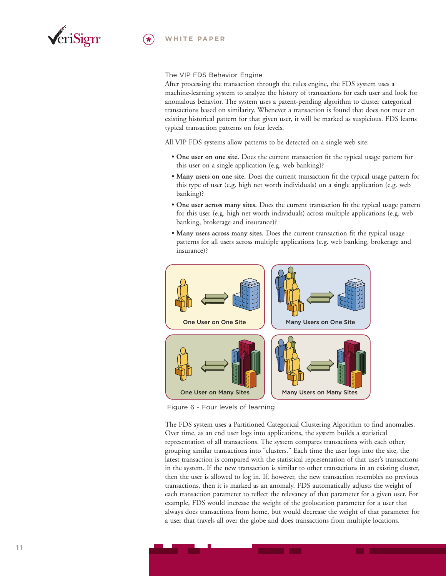

#### The VIP FDS Behavior Engine

After processing the transaction through the rules engine, the FDS system uses a machine-learning system to analyze the history of transactions for each user and look for anomalous behavior. The system uses a patent-pending algorithm to cluster categorical transactions based on similarity. Whenever a transaction is found that does not meet an existing historical pattern for that given user, it will be marked as suspicious. FDS learns typical transaction patterns on four levels.

All VIP FDS systems allow patterns to be detected on a single web site:

- **One user on one site.** Does the current transaction fit the typical usage pattern for this user on a single application (e.g. web banking)?
- **Many users on one site.** Does the current transaction fit the typical usage pattern for this type of user (e.g. high net worth individuals) on a single application (e.g. web banking)?
- **One user across many sites.** Does the current transaction fit the typical usage pattern for this user (e.g. high net worth individuals) across multiple applications (e.g. web banking, brokerage and insurance)?
- **Many users across many sites.** Does the current transaction fit the typical usage patterns for all users across multiple applications (e.g. web banking, brokerage and insurance)?



Figure 6 - Four levels of learning

The FDS system uses a Partitioned Categorical Clustering Algorithm to find anomalies. Over time, as an end user logs into applications, the system builds a statistical representation of all transactions. The system compares transactions with each other, grouping similar transactions into "clusters." Each time the user logs into the site, the latest transaction is compared with the statistical representation of that user's transactions in the system. If the new transaction is similar to other transactions in an existing cluster, then the user is allowed to log in. If, however, the new transaction resembles no previous transactions, then it is marked as an anomaly. FDS automatically adjusts the weight of each transaction parameter to reflect the relevancy of that parameter for a given user. For example, FDS would increase the weight of the geolocation parameter for a user that always does transactions from home, but would decrease the weight of that parameter for a user that travels all over the globe and does transactions from multiple locations.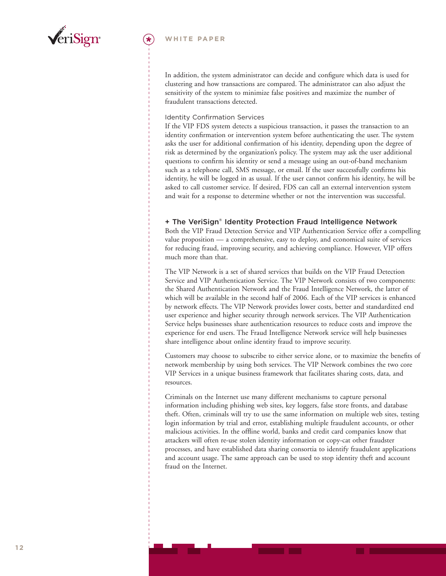

In addition, the system administrator can decide and configure which data is used for clustering and how transactions are compared. The administrator can also adjust the sensitivity of the system to minimize false positives and maximize the number of fraudulent transactions detected.

Identity Confirmation Services

If the VIP FDS system detects a suspicious transaction, it passes the transaction to an identity confirmation or intervention system before authenticating the user. The system asks the user for additional confirmation of his identity, depending upon the degree of risk as determined by the organization's policy. The system may ask the user additional questions to confirm his identity or send a message using an out-of-band mechanism such as a telephone call, SMS message, or email. If the user successfully confirms his identity, he will be logged in as usual. If the user cannot confirm his identity, he will be asked to call customer service. If desired, FDS can call an external intervention system and wait for a response to determine whether or not the intervention was successful.

#### **+ The VeriSign® Identity Protection Fraud Intelligence Network**

Both the VIP Fraud Detection Service and VIP Authentication Service offer a compelling value proposition — a comprehensive, easy to deploy, and economical suite of services for reducing fraud, improving security, and achieving compliance. However, VIP offers much more than that.

The VIP Network is a set of shared services that builds on the VIP Fraud Detection Service and VIP Authentication Service. The VIP Network consists of two components: the Shared Authentication Network and the Fraud Intelligence Network, the latter of which will be available in the second half of 2006. Each of the VIP services is enhanced by network effects. The VIP Network provides lower costs, better and standardized end user experience and higher security through network services. The VIP Authentication Service helps businesses share authentication resources to reduce costs and improve the experience for end users. The Fraud Intelligence Network service will help businesses share intelligence about online identity fraud to improve security.

Customers may choose to subscribe to either service alone, or to maximize the benefits of network membership by using both services. The VIP Network combines the two core VIP Services in a unique business framework that facilitates sharing costs, data, and resources.

Criminals on the Internet use many different mechanisms to capture personal information including phishing web sites, key loggers, false store fronts, and database theft. Often, criminals will try to use the same information on multiple web sites, testing login information by trial and error, establishing multiple fraudulent accounts, or other malicious activities. In the offline world, banks and credit card companies know that attackers will often re-use stolen identity information or copy-cat other fraudster processes, and have established data sharing consortia to identify fraudulent applications and account usage. The same approach can be used to stop identity theft and account fraud on the Internet.